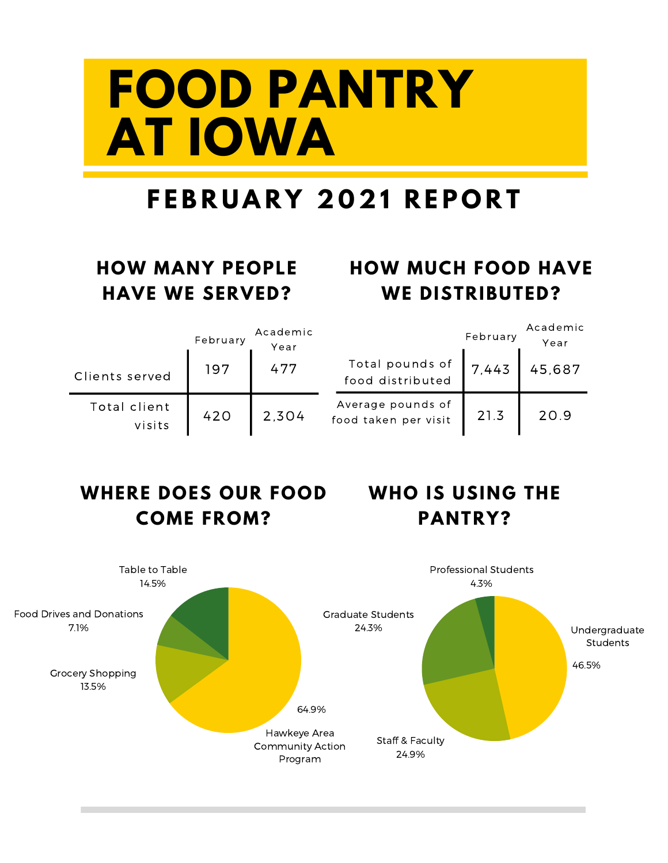# **FOOD PANTRY AT IOWA**

### **F E B R U A R Y 2 0 2 1 R E P O R T**

#### **HOW MANY PEOPLE HAVE WE SERVED?**

#### **HOW MUCH FOOD HAVE WE DISTRIBUTED?**

|                        | February | Academic<br>Year |                                           | February | Academic<br>Year |
|------------------------|----------|------------------|-------------------------------------------|----------|------------------|
| Clients served         | 197      | 477              | Total pounds of<br>food distributed       | 7.443    | 45,687           |
| Total client<br>visits | 420      | 2.304            | Average pounds of<br>food taken per visit | 21.3     | 20.9             |

#### **WHERE DOES OUR FOOD WHO IS USING THE COME FROM?**

### **PANTRY?**

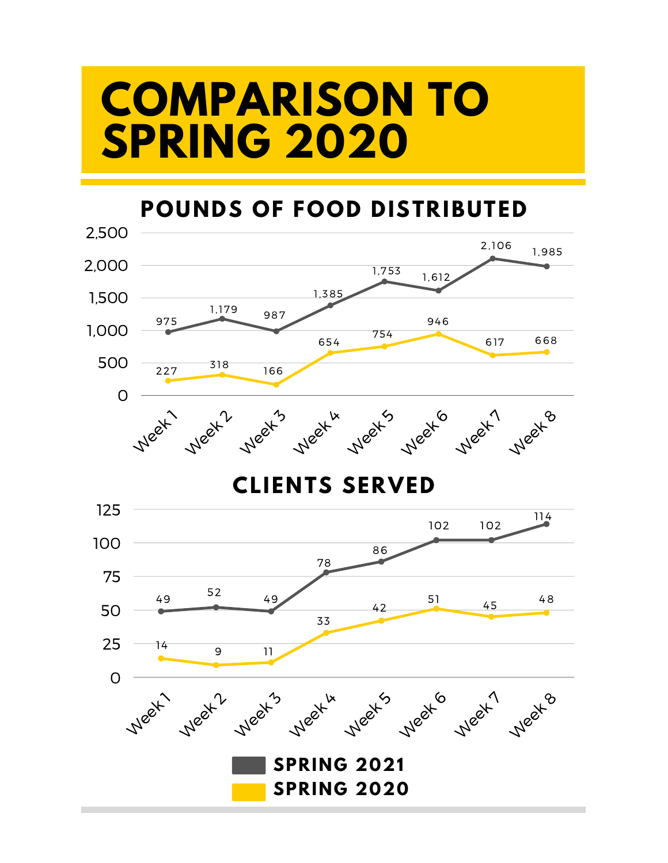### **COMPARISON TO SPRING 2020**

#### **POUNDS OF FOOD DISTRIBUTED**

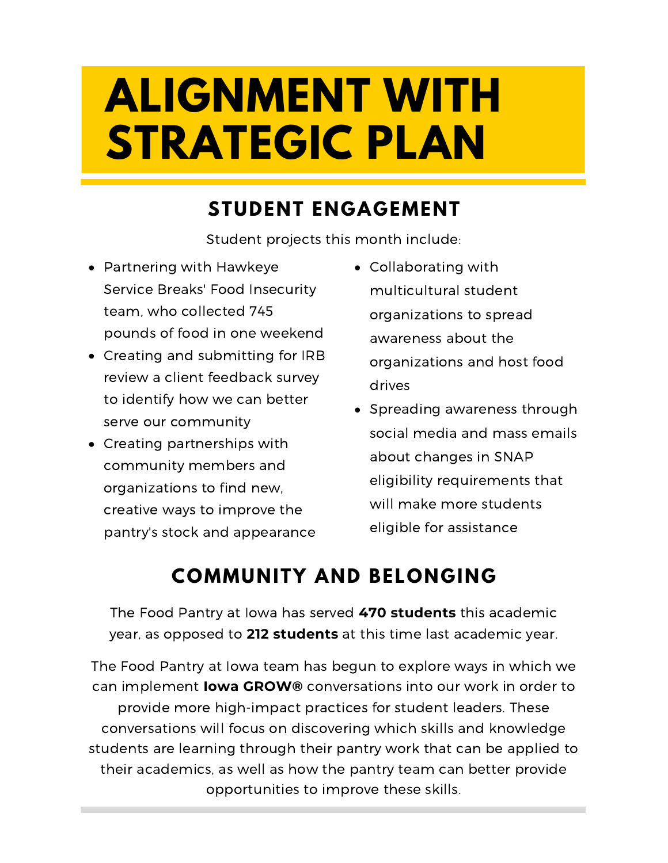# **ALIGNMENT WITH STRATEGIC PLAN**

#### **STUDENT ENGAGEMENT**

Student projects this month include:

- Partnering with Hawkeye Service Breaks' Food Insecurity team, who collected 745 pounds of food in one weekend
- Creating and submitting for IRB review a client feedback survey to identify how we can better serve our community
- Creating partnerships with community members and organizations to find new, creative ways to improve the pantry's stock and appearance
- Collaborating with multicultural student organizations to spread awareness about the organizations and host food drives
- Spreading awareness through social media and mass emails about changes in SNAP eligibility requirements that will make more students eligible for assistance

### **COMMUNITY AND BELONGING**

The Food Pantry at Iowa has served **470 students** this academic year, as opposed to **212 students** at this time last academic year.

The Food Pantry at Iowa team has begun to explore ways in which we can implement **Iowa GROW®** conversations into our work in order to provide more high-impact practices for student leaders. These conversations will focus on discovering which skills and knowledge students are learning through their pantry work that can be applied to their academics, as well as how the pantry team can better provide opportunities to improve these skills.